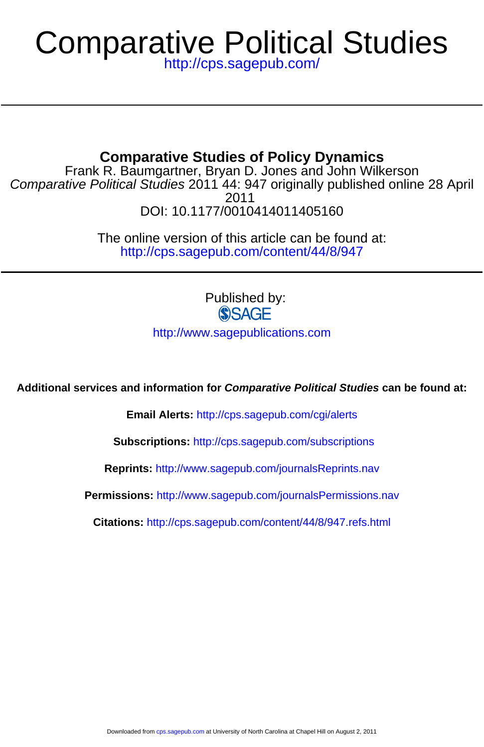# <http://cps.sagepub.com/> Comparative Political Studies

# **Comparative Studies of Policy Dynamics**

DOI: 10.1177/0010414011405160 2011 Comparative Political Studies 2011 44: 947 originally published online 28 April Frank R. Baumgartner, Bryan D. Jones and John Wilkerson

> <http://cps.sagepub.com/content/44/8/947> The online version of this article can be found at:

> > Published by: **SSAGE** <http://www.sagepublications.com>

**Additional services and information for Comparative Political Studies can be found at:**

**Email Alerts:** <http://cps.sagepub.com/cgi/alerts>

**Subscriptions:** <http://cps.sagepub.com/subscriptions>

**Reprints:** <http://www.sagepub.com/journalsReprints.nav>

**Permissions:** <http://www.sagepub.com/journalsPermissions.nav>

**Citations:** <http://cps.sagepub.com/content/44/8/947.refs.html>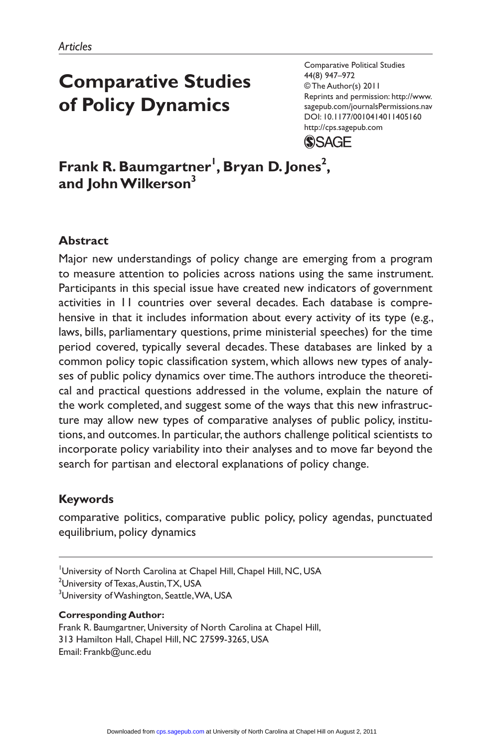# **Comparative Studies of Policy Dynamics**

Comparative Political Studies 44(8) 947–972 © The Author(s) 2011 Reprints and permission: http://www. sagepub.com/journalsPermissions.nav DOI: 10.1177/0010414011405160 http://cps.sagepub.com



**Frank R. Baumgartner<sup>1</sup>, Bryan D. Jones<sup>2</sup>, and John Wilkerson3**

#### **Abstract**

Major new understandings of policy change are emerging from a program to measure attention to policies across nations using the same instrument. Participants in this special issue have created new indicators of government activities in 11 countries over several decades. Each database is comprehensive in that it includes information about every activity of its type (e.g., laws, bills, parliamentary questions, prime ministerial speeches) for the time period covered, typically several decades. These databases are linked by a common policy topic classification system, which allows new types of analyses of public policy dynamics over time. The authors introduce the theoretical and practical questions addressed in the volume, explain the nature of the work completed, and suggest some of the ways that this new infrastructure may allow new types of comparative analyses of public policy, institutions, and outcomes. In particular, the authors challenge political scientists to incorporate policy variability into their analyses and to move far beyond the search for partisan and electoral explanations of policy change.

#### **Keywords**

comparative politics, comparative public policy, policy agendas, punctuated equilibrium, policy dynamics

#### **Corresponding Author:**

Frank R. Baumgartner, University of North Carolina at Chapel Hill, 313 Hamilton Hall, Chapel Hill, NC 27599-3265, USA Email: Frankb@unc.edu

<sup>&</sup>lt;sup>1</sup>University of North Carolina at Chapel Hill, Chapel Hill, NC, USA

 $^2$ University of Texas, Austin, TX, USA

<sup>&</sup>lt;sup>3</sup>University of Washington, Seattle, WA, USA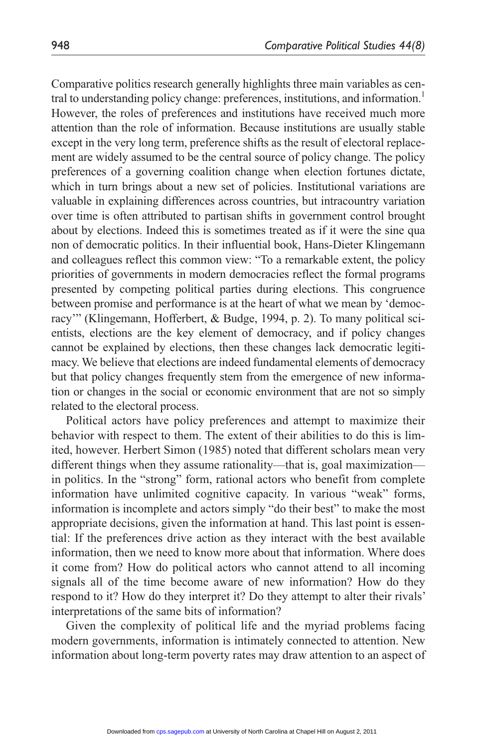Comparative politics research generally highlights three main variables as central to understanding policy change: preferences, institutions, and information.<sup>1</sup> However, the roles of preferences and institutions have received much more attention than the role of information. Because institutions are usually stable except in the very long term, preference shifts as the result of electoral replacement are widely assumed to be the central source of policy change. The policy preferences of a governing coalition change when election fortunes dictate, which in turn brings about a new set of policies. Institutional variations are valuable in explaining differences across countries, but intracountry variation over time is often attributed to partisan shifts in government control brought about by elections. Indeed this is sometimes treated as if it were the sine qua non of democratic politics. In their influential book, Hans-Dieter Klingemann and colleagues reflect this common view: "To a remarkable extent, the policy priorities of governments in modern democracies reflect the formal programs presented by competing political parties during elections. This congruence between promise and performance is at the heart of what we mean by 'democracy'" (Klingemann, Hofferbert, & Budge, 1994, p. 2). To many political scientists, elections are the key element of democracy, and if policy changes cannot be explained by elections, then these changes lack democratic legitimacy. We believe that elections are indeed fundamental elements of democracy but that policy changes frequently stem from the emergence of new information or changes in the social or economic environment that are not so simply related to the electoral process.

Political actors have policy preferences and attempt to maximize their behavior with respect to them. The extent of their abilities to do this is limited, however. Herbert Simon (1985) noted that different scholars mean very different things when they assume rationality—that is, goal maximization in politics. In the "strong" form, rational actors who benefit from complete information have unlimited cognitive capacity. In various "weak" forms, information is incomplete and actors simply "do their best" to make the most appropriate decisions, given the information at hand. This last point is essential: If the preferences drive action as they interact with the best available information, then we need to know more about that information. Where does it come from? How do political actors who cannot attend to all incoming signals all of the time become aware of new information? How do they respond to it? How do they interpret it? Do they attempt to alter their rivals' interpretations of the same bits of information?

Given the complexity of political life and the myriad problems facing modern governments, information is intimately connected to attention. New information about long-term poverty rates may draw attention to an aspect of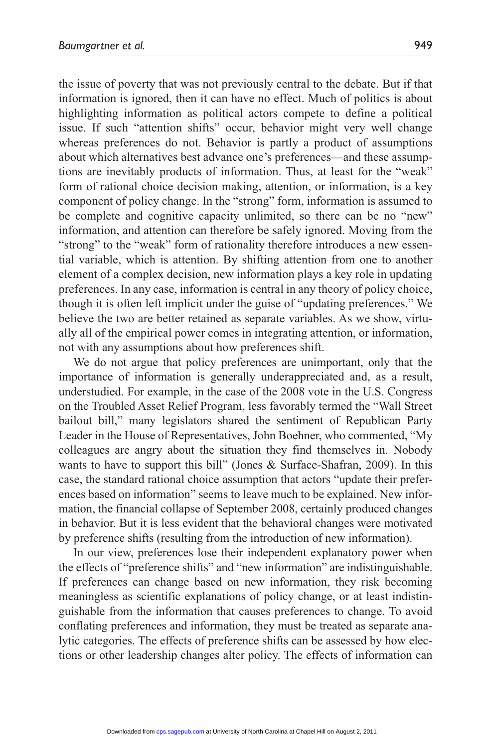the issue of poverty that was not previously central to the debate. But if that information is ignored, then it can have no effect. Much of politics is about highlighting information as political actors compete to define a political issue. If such "attention shifts" occur, behavior might very well change whereas preferences do not. Behavior is partly a product of assumptions about which alternatives best advance one's preferences—and these assumptions are inevitably products of information. Thus, at least for the "weak" form of rational choice decision making, attention, or information, is a key component of policy change. In the "strong" form, information is assumed to be complete and cognitive capacity unlimited, so there can be no "new" information, and attention can therefore be safely ignored. Moving from the "strong" to the "weak" form of rationality therefore introduces a new essential variable, which is attention. By shifting attention from one to another element of a complex decision, new information plays a key role in updating preferences. In any case, information is central in any theory of policy choice, though it is often left implicit under the guise of "updating preferences." We believe the two are better retained as separate variables. As we show, virtually all of the empirical power comes in integrating attention, or information, not with any assumptions about how preferences shift.

We do not argue that policy preferences are unimportant, only that the importance of information is generally underappreciated and, as a result, understudied. For example, in the case of the 2008 vote in the U.S. Congress on the Troubled Asset Relief Program, less favorably termed the "Wall Street bailout bill," many legislators shared the sentiment of Republican Party Leader in the House of Representatives, John Boehner, who commented, "My colleagues are angry about the situation they find themselves in. Nobody wants to have to support this bill" (Jones & Surface-Shafran, 2009). In this case, the standard rational choice assumption that actors "update their preferences based on information" seems to leave much to be explained. New information, the financial collapse of September 2008, certainly produced changes in behavior. But it is less evident that the behavioral changes were motivated by preference shifts (resulting from the introduction of new information).

In our view, preferences lose their independent explanatory power when the effects of "preference shifts" and "new information" are indistinguishable. If preferences can change based on new information, they risk becoming meaningless as scientific explanations of policy change, or at least indistinguishable from the information that causes preferences to change. To avoid conflating preferences and information, they must be treated as separate analytic categories. The effects of preference shifts can be assessed by how elections or other leadership changes alter policy. The effects of information can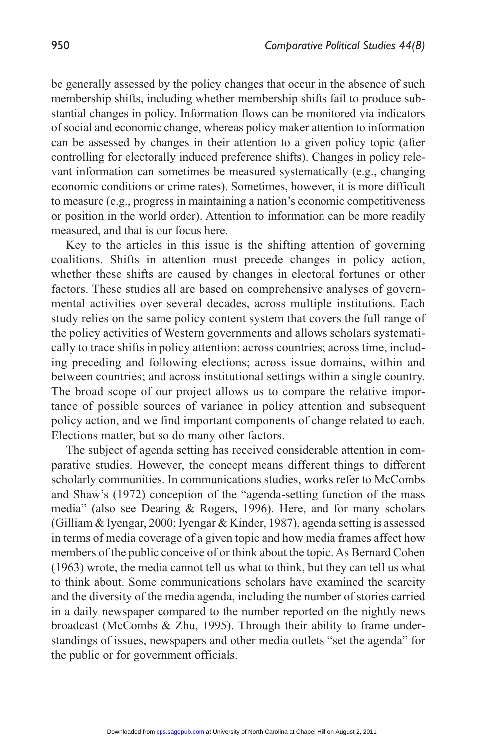be generally assessed by the policy changes that occur in the absence of such membership shifts, including whether membership shifts fail to produce substantial changes in policy. Information flows can be monitored via indicators of social and economic change, whereas policy maker attention to information can be assessed by changes in their attention to a given policy topic (after controlling for electorally induced preference shifts). Changes in policy relevant information can sometimes be measured systematically (e.g., changing economic conditions or crime rates). Sometimes, however, it is more difficult to measure (e.g., progress in maintaining a nation's economic competitiveness or position in the world order). Attention to information can be more readily measured, and that is our focus here.

Key to the articles in this issue is the shifting attention of governing coalitions. Shifts in attention must precede changes in policy action, whether these shifts are caused by changes in electoral fortunes or other factors. These studies all are based on comprehensive analyses of governmental activities over several decades, across multiple institutions. Each study relies on the same policy content system that covers the full range of the policy activities of Western governments and allows scholars systematically to trace shifts in policy attention: across countries; across time, including preceding and following elections; across issue domains, within and between countries; and across institutional settings within a single country. The broad scope of our project allows us to compare the relative importance of possible sources of variance in policy attention and subsequent policy action, and we find important components of change related to each. Elections matter, but so do many other factors.

The subject of agenda setting has received considerable attention in comparative studies. However, the concept means different things to different scholarly communities. In communications studies, works refer to McCombs and Shaw's (1972) conception of the "agenda-setting function of the mass media" (also see Dearing & Rogers, 1996). Here, and for many scholars (Gilliam & Iyengar, 2000; Iyengar & Kinder, 1987), agenda setting is assessed in terms of media coverage of a given topic and how media frames affect how members of the public conceive of or think about the topic. As Bernard Cohen (1963) wrote, the media cannot tell us what to think, but they can tell us what to think about. Some communications scholars have examined the scarcity and the diversity of the media agenda, including the number of stories carried in a daily newspaper compared to the number reported on the nightly news broadcast (McCombs & Zhu, 1995). Through their ability to frame understandings of issues, newspapers and other media outlets "set the agenda" for the public or for government officials.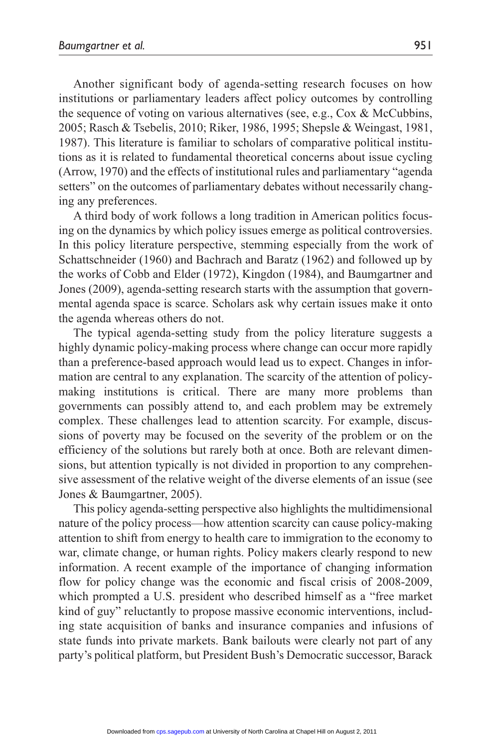Another significant body of agenda-setting research focuses on how institutions or parliamentary leaders affect policy outcomes by controlling the sequence of voting on various alternatives (see, e.g., Cox & McCubbins, 2005; Rasch & Tsebelis, 2010; Riker, 1986, 1995; Shepsle & Weingast, 1981, 1987). This literature is familiar to scholars of comparative political institutions as it is related to fundamental theoretical concerns about issue cycling (Arrow, 1970) and the effects of institutional rules and parliamentary "agenda setters" on the outcomes of parliamentary debates without necessarily changing any preferences.

A third body of work follows a long tradition in American politics focusing on the dynamics by which policy issues emerge as political controversies. In this policy literature perspective, stemming especially from the work of Schattschneider (1960) and Bachrach and Baratz (1962) and followed up by the works of Cobb and Elder (1972), Kingdon (1984), and Baumgartner and Jones (2009), agenda-setting research starts with the assumption that governmental agenda space is scarce. Scholars ask why certain issues make it onto the agenda whereas others do not.

The typical agenda-setting study from the policy literature suggests a highly dynamic policy-making process where change can occur more rapidly than a preference-based approach would lead us to expect. Changes in information are central to any explanation. The scarcity of the attention of policymaking institutions is critical. There are many more problems than governments can possibly attend to, and each problem may be extremely complex. These challenges lead to attention scarcity. For example, discussions of poverty may be focused on the severity of the problem or on the efficiency of the solutions but rarely both at once. Both are relevant dimensions, but attention typically is not divided in proportion to any comprehensive assessment of the relative weight of the diverse elements of an issue (see Jones & Baumgartner, 2005).

This policy agenda-setting perspective also highlights the multidimensional nature of the policy process—how attention scarcity can cause policy-making attention to shift from energy to health care to immigration to the economy to war, climate change, or human rights. Policy makers clearly respond to new information. A recent example of the importance of changing information flow for policy change was the economic and fiscal crisis of 2008-2009, which prompted a U.S. president who described himself as a "free market kind of guy" reluctantly to propose massive economic interventions, including state acquisition of banks and insurance companies and infusions of state funds into private markets. Bank bailouts were clearly not part of any party's political platform, but President Bush's Democratic successor, Barack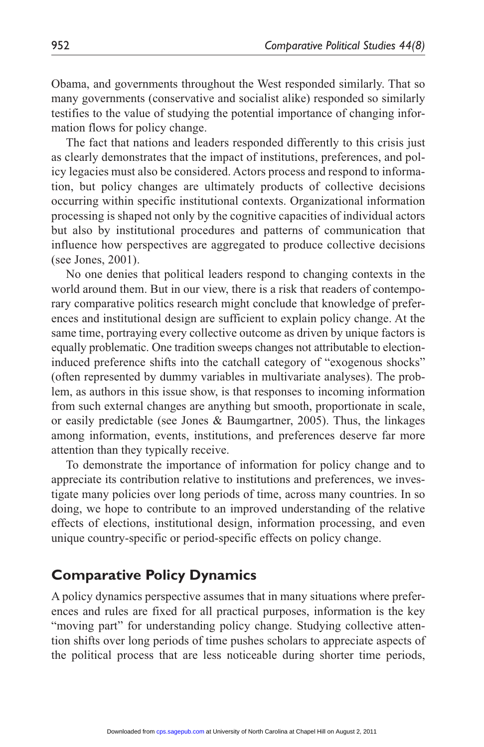Obama, and governments throughout the West responded similarly. That so many governments (conservative and socialist alike) responded so similarly testifies to the value of studying the potential importance of changing information flows for policy change.

The fact that nations and leaders responded differently to this crisis just as clearly demonstrates that the impact of institutions, preferences, and policy legacies must also be considered. Actors process and respond to information, but policy changes are ultimately products of collective decisions occurring within specific institutional contexts. Organizational information processing is shaped not only by the cognitive capacities of individual actors but also by institutional procedures and patterns of communication that influence how perspectives are aggregated to produce collective decisions (see Jones, 2001).

No one denies that political leaders respond to changing contexts in the world around them. But in our view, there is a risk that readers of contemporary comparative politics research might conclude that knowledge of preferences and institutional design are sufficient to explain policy change. At the same time, portraying every collective outcome as driven by unique factors is equally problematic. One tradition sweeps changes not attributable to electioninduced preference shifts into the catchall category of "exogenous shocks" (often represented by dummy variables in multivariate analyses). The problem, as authors in this issue show, is that responses to incoming information from such external changes are anything but smooth, proportionate in scale, or easily predictable (see Jones & Baumgartner, 2005). Thus, the linkages among information, events, institutions, and preferences deserve far more attention than they typically receive.

To demonstrate the importance of information for policy change and to appreciate its contribution relative to institutions and preferences, we investigate many policies over long periods of time, across many countries. In so doing, we hope to contribute to an improved understanding of the relative effects of elections, institutional design, information processing, and even unique country-specific or period-specific effects on policy change.

#### **Comparative Policy Dynamics**

A policy dynamics perspective assumes that in many situations where preferences and rules are fixed for all practical purposes, information is the key "moving part" for understanding policy change. Studying collective attention shifts over long periods of time pushes scholars to appreciate aspects of the political process that are less noticeable during shorter time periods,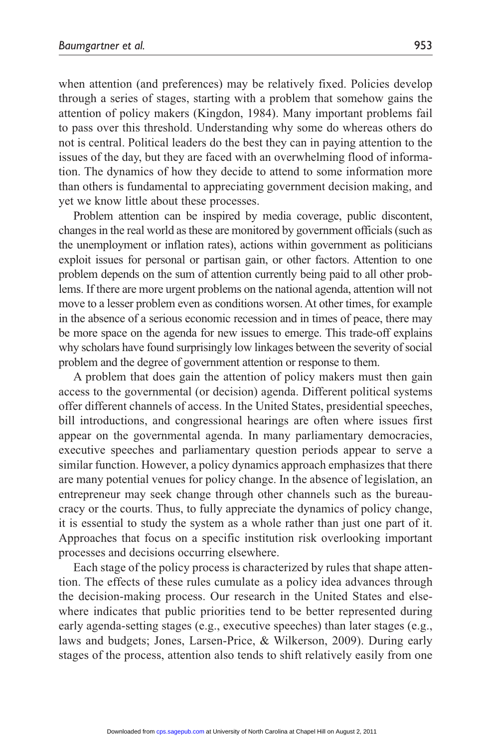when attention (and preferences) may be relatively fixed. Policies develop through a series of stages, starting with a problem that somehow gains the attention of policy makers (Kingdon, 1984). Many important problems fail to pass over this threshold. Understanding why some do whereas others do not is central. Political leaders do the best they can in paying attention to the issues of the day, but they are faced with an overwhelming flood of information. The dynamics of how they decide to attend to some information more than others is fundamental to appreciating government decision making, and yet we know little about these processes.

Problem attention can be inspired by media coverage, public discontent, changes in the real world as these are monitored by government officials (such as the unemployment or inflation rates), actions within government as politicians exploit issues for personal or partisan gain, or other factors. Attention to one problem depends on the sum of attention currently being paid to all other problems. If there are more urgent problems on the national agenda, attention will not move to a lesser problem even as conditions worsen. At other times, for example in the absence of a serious economic recession and in times of peace, there may be more space on the agenda for new issues to emerge. This trade-off explains why scholars have found surprisingly low linkages between the severity of social problem and the degree of government attention or response to them.

A problem that does gain the attention of policy makers must then gain access to the governmental (or decision) agenda. Different political systems offer different channels of access. In the United States, presidential speeches, bill introductions, and congressional hearings are often where issues first appear on the governmental agenda. In many parliamentary democracies, executive speeches and parliamentary question periods appear to serve a similar function. However, a policy dynamics approach emphasizes that there are many potential venues for policy change. In the absence of legislation, an entrepreneur may seek change through other channels such as the bureaucracy or the courts. Thus, to fully appreciate the dynamics of policy change, it is essential to study the system as a whole rather than just one part of it. Approaches that focus on a specific institution risk overlooking important processes and decisions occurring elsewhere.

Each stage of the policy process is characterized by rules that shape attention. The effects of these rules cumulate as a policy idea advances through the decision-making process. Our research in the United States and elsewhere indicates that public priorities tend to be better represented during early agenda-setting stages (e.g., executive speeches) than later stages (e.g., laws and budgets; Jones, Larsen-Price, & Wilkerson, 2009). During early stages of the process, attention also tends to shift relatively easily from one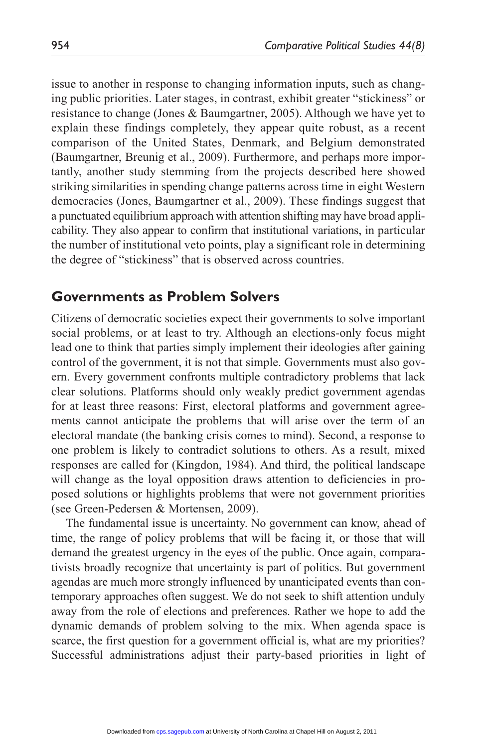issue to another in response to changing information inputs, such as changing public priorities. Later stages, in contrast, exhibit greater "stickiness" or resistance to change (Jones & Baumgartner, 2005). Although we have yet to explain these findings completely, they appear quite robust, as a recent comparison of the United States, Denmark, and Belgium demonstrated (Baumgartner, Breunig et al., 2009). Furthermore, and perhaps more importantly, another study stemming from the projects described here showed striking similarities in spending change patterns across time in eight Western democracies (Jones, Baumgartner et al., 2009). These findings suggest that a punctuated equilibrium approach with attention shifting may have broad applicability. They also appear to confirm that institutional variations, in particular the number of institutional veto points, play a significant role in determining the degree of "stickiness" that is observed across countries.

#### **Governments as Problem Solvers**

Citizens of democratic societies expect their governments to solve important social problems, or at least to try. Although an elections-only focus might lead one to think that parties simply implement their ideologies after gaining control of the government, it is not that simple. Governments must also govern. Every government confronts multiple contradictory problems that lack clear solutions. Platforms should only weakly predict government agendas for at least three reasons: First, electoral platforms and government agreements cannot anticipate the problems that will arise over the term of an electoral mandate (the banking crisis comes to mind). Second, a response to one problem is likely to contradict solutions to others. As a result, mixed responses are called for (Kingdon, 1984). And third, the political landscape will change as the loyal opposition draws attention to deficiencies in proposed solutions or highlights problems that were not government priorities (see Green-Pedersen & Mortensen, 2009).

The fundamental issue is uncertainty. No government can know, ahead of time, the range of policy problems that will be facing it, or those that will demand the greatest urgency in the eyes of the public. Once again, comparativists broadly recognize that uncertainty is part of politics. But government agendas are much more strongly influenced by unanticipated events than contemporary approaches often suggest. We do not seek to shift attention unduly away from the role of elections and preferences. Rather we hope to add the dynamic demands of problem solving to the mix. When agenda space is scarce, the first question for a government official is, what are my priorities? Successful administrations adjust their party-based priorities in light of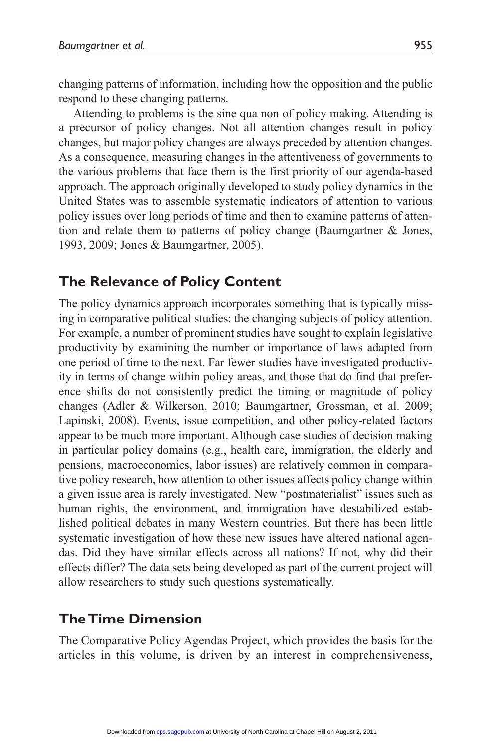changing patterns of information, including how the opposition and the public respond to these changing patterns.

Attending to problems is the sine qua non of policy making. Attending is a precursor of policy changes. Not all attention changes result in policy changes, but major policy changes are always preceded by attention changes. As a consequence, measuring changes in the attentiveness of governments to the various problems that face them is the first priority of our agenda-based approach. The approach originally developed to study policy dynamics in the United States was to assemble systematic indicators of attention to various policy issues over long periods of time and then to examine patterns of attention and relate them to patterns of policy change (Baumgartner & Jones, 1993, 2009; Jones & Baumgartner, 2005).

### **The Relevance of Policy Content**

The policy dynamics approach incorporates something that is typically missing in comparative political studies: the changing subjects of policy attention. For example, a number of prominent studies have sought to explain legislative productivity by examining the number or importance of laws adapted from one period of time to the next. Far fewer studies have investigated productivity in terms of change within policy areas, and those that do find that preference shifts do not consistently predict the timing or magnitude of policy changes (Adler & Wilkerson, 2010; Baumgartner, Grossman, et al. 2009; Lapinski, 2008). Events, issue competition, and other policy-related factors appear to be much more important. Although case studies of decision making in particular policy domains (e.g., health care, immigration, the elderly and pensions, macroeconomics, labor issues) are relatively common in comparative policy research, how attention to other issues affects policy change within a given issue area is rarely investigated. New "postmaterialist" issues such as human rights, the environment, and immigration have destabilized established political debates in many Western countries. But there has been little systematic investigation of how these new issues have altered national agendas. Did they have similar effects across all nations? If not, why did their effects differ? The data sets being developed as part of the current project will allow researchers to study such questions systematically.

#### **The Time Dimension**

The Comparative Policy Agendas Project, which provides the basis for the articles in this volume, is driven by an interest in comprehensiveness,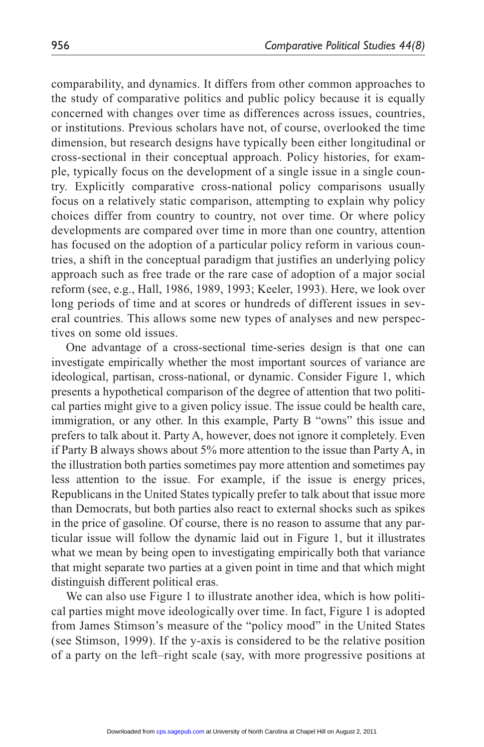comparability, and dynamics. It differs from other common approaches to the study of comparative politics and public policy because it is equally concerned with changes over time as differences across issues, countries, or institutions. Previous scholars have not, of course, overlooked the time dimension, but research designs have typically been either longitudinal or cross-sectional in their conceptual approach. Policy histories, for example, typically focus on the development of a single issue in a single country. Explicitly comparative cross-national policy comparisons usually focus on a relatively static comparison, attempting to explain why policy choices differ from country to country, not over time. Or where policy developments are compared over time in more than one country, attention has focused on the adoption of a particular policy reform in various countries, a shift in the conceptual paradigm that justifies an underlying policy approach such as free trade or the rare case of adoption of a major social reform (see, e.g., Hall, 1986, 1989, 1993; Keeler, 1993). Here, we look over long periods of time and at scores or hundreds of different issues in several countries. This allows some new types of analyses and new perspectives on some old issues.

One advantage of a cross-sectional time-series design is that one can investigate empirically whether the most important sources of variance are ideological, partisan, cross-national, or dynamic. Consider Figure 1, which presents a hypothetical comparison of the degree of attention that two political parties might give to a given policy issue. The issue could be health care, immigration, or any other. In this example, Party B "owns" this issue and prefers to talk about it. Party A, however, does not ignore it completely. Even if Party B always shows about 5% more attention to the issue than Party A, in the illustration both parties sometimes pay more attention and sometimes pay less attention to the issue. For example, if the issue is energy prices, Republicans in the United States typically prefer to talk about that issue more than Democrats, but both parties also react to external shocks such as spikes in the price of gasoline. Of course, there is no reason to assume that any particular issue will follow the dynamic laid out in Figure 1, but it illustrates what we mean by being open to investigating empirically both that variance that might separate two parties at a given point in time and that which might distinguish different political eras.

We can also use Figure 1 to illustrate another idea, which is how political parties might move ideologically over time. In fact, Figure 1 is adopted from James Stimson's measure of the "policy mood" in the United States (see Stimson, 1999). If the y-axis is considered to be the relative position of a party on the left–right scale (say, with more progressive positions at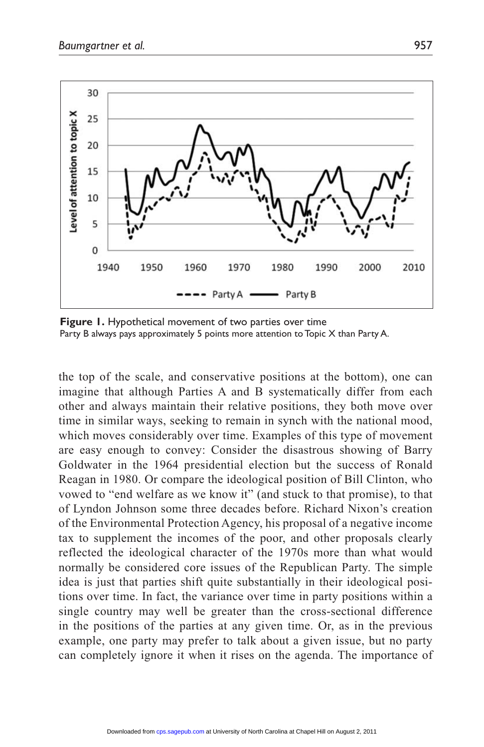

**Figure 1.** Hypothetical movement of two parties over time Party B always pays approximately 5 points more attention to Topic X than Party A.

the top of the scale, and conservative positions at the bottom), one can imagine that although Parties A and B systematically differ from each other and always maintain their relative positions, they both move over time in similar ways, seeking to remain in synch with the national mood, which moves considerably over time. Examples of this type of movement are easy enough to convey: Consider the disastrous showing of Barry Goldwater in the 1964 presidential election but the success of Ronald Reagan in 1980. Or compare the ideological position of Bill Clinton, who vowed to "end welfare as we know it" (and stuck to that promise), to that of Lyndon Johnson some three decades before. Richard Nixon's creation of the Environmental Protection Agency, his proposal of a negative income tax to supplement the incomes of the poor, and other proposals clearly reflected the ideological character of the 1970s more than what would normally be considered core issues of the Republican Party. The simple idea is just that parties shift quite substantially in their ideological positions over time. In fact, the variance over time in party positions within a single country may well be greater than the cross-sectional difference in the positions of the parties at any given time. Or, as in the previous example, one party may prefer to talk about a given issue, but no party can completely ignore it when it rises on the agenda. The importance of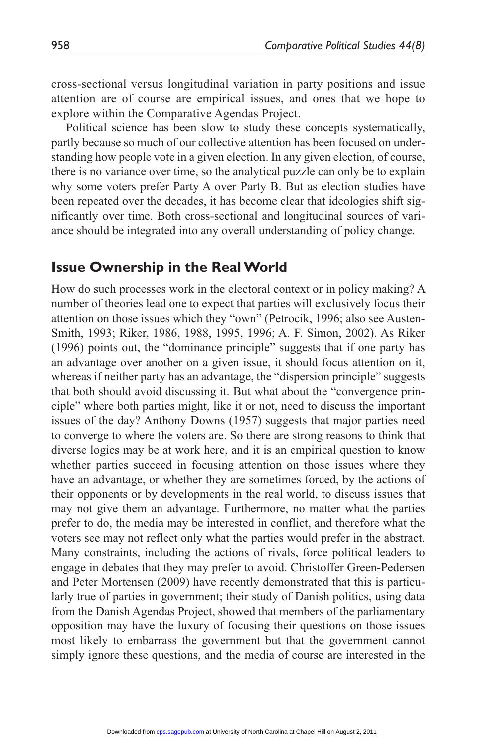cross-sectional versus longitudinal variation in party positions and issue attention are of course are empirical issues, and ones that we hope to explore within the Comparative Agendas Project.

Political science has been slow to study these concepts systematically, partly because so much of our collective attention has been focused on understanding how people vote in a given election. In any given election, of course, there is no variance over time, so the analytical puzzle can only be to explain why some voters prefer Party A over Party B. But as election studies have been repeated over the decades, it has become clear that ideologies shift significantly over time. Both cross-sectional and longitudinal sources of variance should be integrated into any overall understanding of policy change.

#### **Issue Ownership in the Real World**

How do such processes work in the electoral context or in policy making? A number of theories lead one to expect that parties will exclusively focus their attention on those issues which they "own" (Petrocik, 1996; also see Austen-Smith, 1993; Riker, 1986, 1988, 1995, 1996; A. F. Simon, 2002). As Riker (1996) points out, the "dominance principle" suggests that if one party has an advantage over another on a given issue, it should focus attention on it, whereas if neither party has an advantage, the "dispersion principle" suggests that both should avoid discussing it. But what about the "convergence principle" where both parties might, like it or not, need to discuss the important issues of the day? Anthony Downs (1957) suggests that major parties need to converge to where the voters are. So there are strong reasons to think that diverse logics may be at work here, and it is an empirical question to know whether parties succeed in focusing attention on those issues where they have an advantage, or whether they are sometimes forced, by the actions of their opponents or by developments in the real world, to discuss issues that may not give them an advantage. Furthermore, no matter what the parties prefer to do, the media may be interested in conflict, and therefore what the voters see may not reflect only what the parties would prefer in the abstract. Many constraints, including the actions of rivals, force political leaders to engage in debates that they may prefer to avoid. Christoffer Green-Pedersen and Peter Mortensen (2009) have recently demonstrated that this is particularly true of parties in government; their study of Danish politics, using data from the Danish Agendas Project, showed that members of the parliamentary opposition may have the luxury of focusing their questions on those issues most likely to embarrass the government but that the government cannot simply ignore these questions, and the media of course are interested in the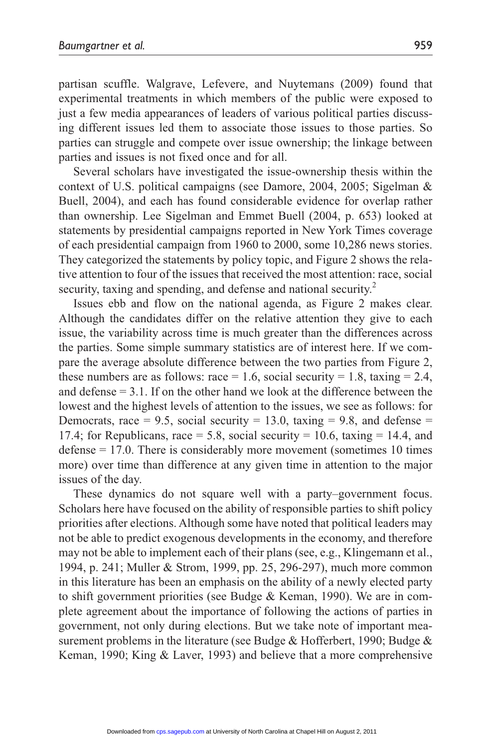partisan scuffle. Walgrave, Lefevere, and Nuytemans (2009) found that experimental treatments in which members of the public were exposed to just a few media appearances of leaders of various political parties discussing different issues led them to associate those issues to those parties. So parties can struggle and compete over issue ownership; the linkage between parties and issues is not fixed once and for all.

Several scholars have investigated the issue-ownership thesis within the context of U.S. political campaigns (see Damore, 2004, 2005; Sigelman & Buell, 2004), and each has found considerable evidence for overlap rather than ownership. Lee Sigelman and Emmet Buell (2004, p. 653) looked at statements by presidential campaigns reported in New York Times coverage of each presidential campaign from 1960 to 2000, some 10,286 news stories. They categorized the statements by policy topic, and Figure 2 shows the relative attention to four of the issues that received the most attention: race, social security, taxing and spending, and defense and national security.<sup>2</sup>

Issues ebb and flow on the national agenda, as Figure 2 makes clear. Although the candidates differ on the relative attention they give to each issue, the variability across time is much greater than the differences across the parties. Some simple summary statistics are of interest here. If we compare the average absolute difference between the two parties from Figure 2, these numbers are as follows: race = 1.6, social security = 1.8, taxing = 2.4, and defense = 3.1. If on the other hand we look at the difference between the lowest and the highest levels of attention to the issues, we see as follows: for Democrats, race = 9.5, social security = 13.0, taxing = 9.8, and defense = 17.4; for Republicans, race  $= 5.8$ , social security  $= 10.6$ , taxing  $= 14.4$ , and defense  $= 17.0$ . There is considerably more movement (sometimes 10 times more) over time than difference at any given time in attention to the major issues of the day.

These dynamics do not square well with a party–government focus. Scholars here have focused on the ability of responsible parties to shift policy priorities after elections. Although some have noted that political leaders may not be able to predict exogenous developments in the economy, and therefore may not be able to implement each of their plans (see, e.g., Klingemann et al., 1994, p. 241; Muller & Strom, 1999, pp. 25, 296-297), much more common in this literature has been an emphasis on the ability of a newly elected party to shift government priorities (see Budge & Keman, 1990). We are in complete agreement about the importance of following the actions of parties in government, not only during elections. But we take note of important measurement problems in the literature (see Budge & Hofferbert, 1990; Budge & Keman, 1990; King & Laver, 1993) and believe that a more comprehensive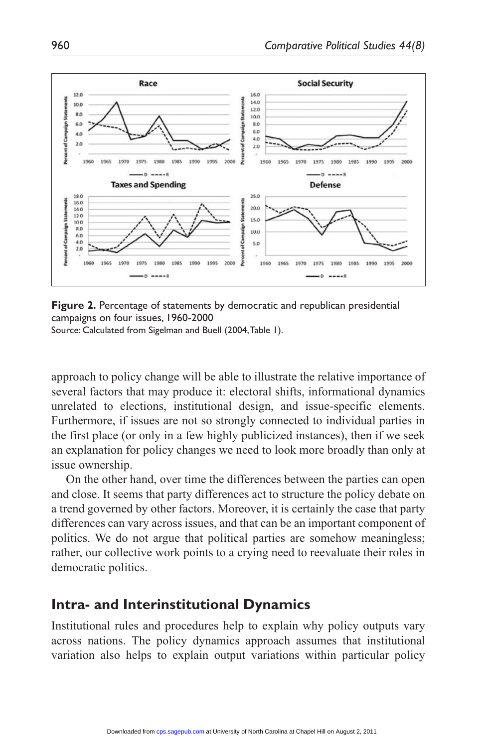

**Figure 2.** Percentage of statements by democratic and republican presidential campaigns on four issues, 1960-2000 Source: Calculated from Sigelman and Buell (2004, Table 1).

approach to policy change will be able to illustrate the relative importance of several factors that may produce it: electoral shifts, informational dynamics unrelated to elections, institutional design, and issue-specific elements. Furthermore, if issues are not so strongly connected to individual parties in the first place (or only in a few highly publicized instances), then if we seek an explanation for policy changes we need to look more broadly than only at issue ownership.

On the other hand, over time the differences between the parties can open and close. It seems that party differences act to structure the policy debate on a trend governed by other factors. Moreover, it is certainly the case that party differences can vary across issues, and that can be an important component of politics. We do not argue that political parties are somehow meaningless; rather, our collective work points to a crying need to reevaluate their roles in democratic politics.

## **Intra- and Interinstitutional Dynamics**

Institutional rules and procedures help to explain why policy outputs vary across nations. The policy dynamics approach assumes that institutional variation also helps to explain output variations within particular policy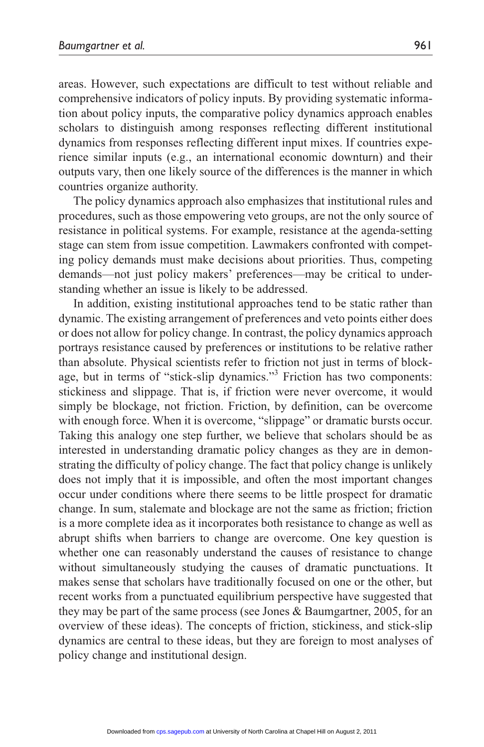areas. However, such expectations are difficult to test without reliable and comprehensive indicators of policy inputs. By providing systematic information about policy inputs, the comparative policy dynamics approach enables scholars to distinguish among responses reflecting different institutional dynamics from responses reflecting different input mixes. If countries experience similar inputs (e.g., an international economic downturn) and their outputs vary, then one likely source of the differences is the manner in which countries organize authority.

The policy dynamics approach also emphasizes that institutional rules and procedures, such as those empowering veto groups, are not the only source of resistance in political systems. For example, resistance at the agenda-setting stage can stem from issue competition. Lawmakers confronted with competing policy demands must make decisions about priorities. Thus, competing demands—not just policy makers' preferences—may be critical to understanding whether an issue is likely to be addressed.

In addition, existing institutional approaches tend to be static rather than dynamic. The existing arrangement of preferences and veto points either does or does not allow for policy change. In contrast, the policy dynamics approach portrays resistance caused by preferences or institutions to be relative rather than absolute. Physical scientists refer to friction not just in terms of blockage, but in terms of "stick-slip dynamics."<sup>3</sup> Friction has two components: stickiness and slippage. That is, if friction were never overcome, it would simply be blockage, not friction. Friction, by definition, can be overcome with enough force. When it is overcome, "slippage" or dramatic bursts occur. Taking this analogy one step further, we believe that scholars should be as interested in understanding dramatic policy changes as they are in demonstrating the difficulty of policy change. The fact that policy change is unlikely does not imply that it is impossible, and often the most important changes occur under conditions where there seems to be little prospect for dramatic change. In sum, stalemate and blockage are not the same as friction; friction is a more complete idea as it incorporates both resistance to change as well as abrupt shifts when barriers to change are overcome. One key question is whether one can reasonably understand the causes of resistance to change without simultaneously studying the causes of dramatic punctuations. It makes sense that scholars have traditionally focused on one or the other, but recent works from a punctuated equilibrium perspective have suggested that they may be part of the same process (see Jones & Baumgartner, 2005, for an overview of these ideas). The concepts of friction, stickiness, and stick-slip dynamics are central to these ideas, but they are foreign to most analyses of policy change and institutional design.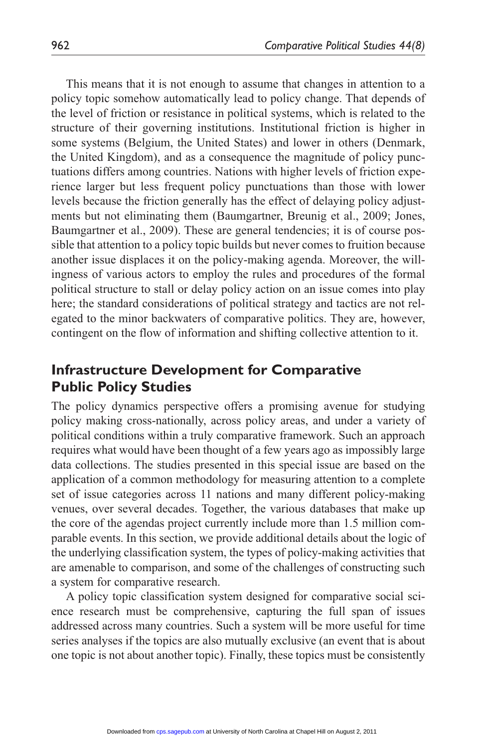This means that it is not enough to assume that changes in attention to a policy topic somehow automatically lead to policy change. That depends of the level of friction or resistance in political systems, which is related to the structure of their governing institutions. Institutional friction is higher in some systems (Belgium, the United States) and lower in others (Denmark, the United Kingdom), and as a consequence the magnitude of policy punctuations differs among countries. Nations with higher levels of friction experience larger but less frequent policy punctuations than those with lower levels because the friction generally has the effect of delaying policy adjustments but not eliminating them (Baumgartner, Breunig et al., 2009; Jones, Baumgartner et al., 2009). These are general tendencies; it is of course possible that attention to a policy topic builds but never comes to fruition because another issue displaces it on the policy-making agenda. Moreover, the willingness of various actors to employ the rules and procedures of the formal political structure to stall or delay policy action on an issue comes into play here; the standard considerations of political strategy and tactics are not relegated to the minor backwaters of comparative politics. They are, however, contingent on the flow of information and shifting collective attention to it.

# **Infrastructure Development for Comparative Public Policy Studies**

The policy dynamics perspective offers a promising avenue for studying policy making cross-nationally, across policy areas, and under a variety of political conditions within a truly comparative framework. Such an approach requires what would have been thought of a few years ago as impossibly large data collections. The studies presented in this special issue are based on the application of a common methodology for measuring attention to a complete set of issue categories across 11 nations and many different policy-making venues, over several decades. Together, the various databases that make up the core of the agendas project currently include more than 1.5 million comparable events. In this section, we provide additional details about the logic of the underlying classification system, the types of policy-making activities that are amenable to comparison, and some of the challenges of constructing such a system for comparative research.

A policy topic classification system designed for comparative social science research must be comprehensive, capturing the full span of issues addressed across many countries. Such a system will be more useful for time series analyses if the topics are also mutually exclusive (an event that is about one topic is not about another topic). Finally, these topics must be consistently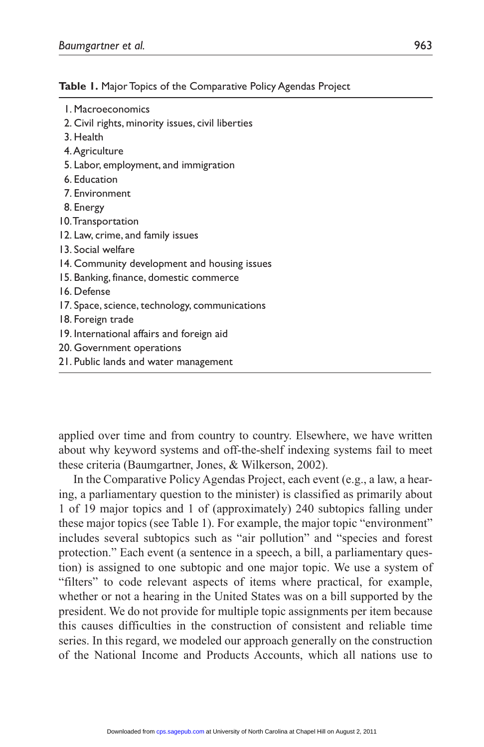**Table 1.** Major Topics of the Comparative Policy Agendas Project

1. Macroeconomics 2. Civil rights, minority issues, civil liberties 3. Health 4. Agriculture 5. Labor, employment, and immigration 6. Education 7. Environment 8. Energy 10. Transportation 12. Law, crime, and family issues 13. Social welfare 14. Community development and housing issues 15. Banking, finance, domestic commerce 16. Defense 17. Space, science, technology, communications 18. Foreign trade 19. International affairs and foreign aid 20. Government operations 21. Public lands and water management

applied over time and from country to country. Elsewhere, we have written about why keyword systems and off-the-shelf indexing systems fail to meet these criteria (Baumgartner, Jones, & Wilkerson, 2002).

In the Comparative Policy Agendas Project, each event (e.g., a law, a hearing, a parliamentary question to the minister) is classified as primarily about 1 of 19 major topics and 1 of (approximately) 240 subtopics falling under these major topics (see Table 1). For example, the major topic "environment" includes several subtopics such as "air pollution" and "species and forest protection." Each event (a sentence in a speech, a bill, a parliamentary question) is assigned to one subtopic and one major topic. We use a system of "filters" to code relevant aspects of items where practical, for example, whether or not a hearing in the United States was on a bill supported by the president. We do not provide for multiple topic assignments per item because this causes difficulties in the construction of consistent and reliable time series. In this regard, we modeled our approach generally on the construction of the National Income and Products Accounts, which all nations use to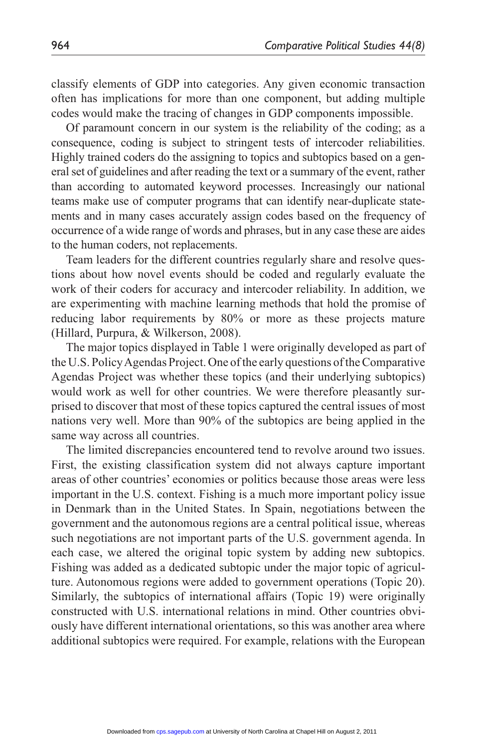classify elements of GDP into categories. Any given economic transaction often has implications for more than one component, but adding multiple codes would make the tracing of changes in GDP components impossible.

Of paramount concern in our system is the reliability of the coding; as a consequence, coding is subject to stringent tests of intercoder reliabilities. Highly trained coders do the assigning to topics and subtopics based on a general set of guidelines and after reading the text or a summary of the event, rather than according to automated keyword processes. Increasingly our national teams make use of computer programs that can identify near-duplicate statements and in many cases accurately assign codes based on the frequency of occurrence of a wide range of words and phrases, but in any case these are aides to the human coders, not replacements.

Team leaders for the different countries regularly share and resolve questions about how novel events should be coded and regularly evaluate the work of their coders for accuracy and intercoder reliability. In addition, we are experimenting with machine learning methods that hold the promise of reducing labor requirements by 80% or more as these projects mature (Hillard, Purpura, & Wilkerson, 2008).

The major topics displayed in Table 1 were originally developed as part of the U.S. Policy Agendas Project. One of the early questions of the Comparative Agendas Project was whether these topics (and their underlying subtopics) would work as well for other countries. We were therefore pleasantly surprised to discover that most of these topics captured the central issues of most nations very well. More than 90% of the subtopics are being applied in the same way across all countries.

The limited discrepancies encountered tend to revolve around two issues. First, the existing classification system did not always capture important areas of other countries' economies or politics because those areas were less important in the U.S. context. Fishing is a much more important policy issue in Denmark than in the United States. In Spain, negotiations between the government and the autonomous regions are a central political issue, whereas such negotiations are not important parts of the U.S. government agenda. In each case, we altered the original topic system by adding new subtopics. Fishing was added as a dedicated subtopic under the major topic of agriculture. Autonomous regions were added to government operations (Topic 20). Similarly, the subtopics of international affairs (Topic 19) were originally constructed with U.S. international relations in mind. Other countries obviously have different international orientations, so this was another area where additional subtopics were required. For example, relations with the European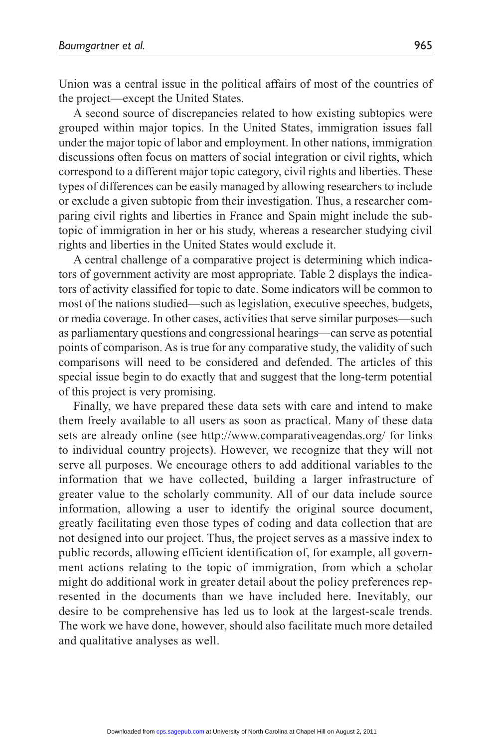Union was a central issue in the political affairs of most of the countries of the project—except the United States.

A second source of discrepancies related to how existing subtopics were grouped within major topics. In the United States, immigration issues fall under the major topic of labor and employment. In other nations, immigration discussions often focus on matters of social integration or civil rights, which correspond to a different major topic category, civil rights and liberties. These types of differences can be easily managed by allowing researchers to include or exclude a given subtopic from their investigation. Thus, a researcher comparing civil rights and liberties in France and Spain might include the subtopic of immigration in her or his study, whereas a researcher studying civil rights and liberties in the United States would exclude it.

A central challenge of a comparative project is determining which indicators of government activity are most appropriate. Table 2 displays the indicators of activity classified for topic to date. Some indicators will be common to most of the nations studied—such as legislation, executive speeches, budgets, or media coverage. In other cases, activities that serve similar purposes—such as parliamentary questions and congressional hearings—can serve as potential points of comparison. As is true for any comparative study, the validity of such comparisons will need to be considered and defended. The articles of this special issue begin to do exactly that and suggest that the long-term potential of this project is very promising.

Finally, we have prepared these data sets with care and intend to make them freely available to all users as soon as practical. Many of these data sets are already online (see http://www.comparativeagendas.org/ for links to individual country projects). However, we recognize that they will not serve all purposes. We encourage others to add additional variables to the information that we have collected, building a larger infrastructure of greater value to the scholarly community. All of our data include source information, allowing a user to identify the original source document, greatly facilitating even those types of coding and data collection that are not designed into our project. Thus, the project serves as a massive index to public records, allowing efficient identification of, for example, all government actions relating to the topic of immigration, from which a scholar might do additional work in greater detail about the policy preferences represented in the documents than we have included here. Inevitably, our desire to be comprehensive has led us to look at the largest-scale trends. The work we have done, however, should also facilitate much more detailed and qualitative analyses as well.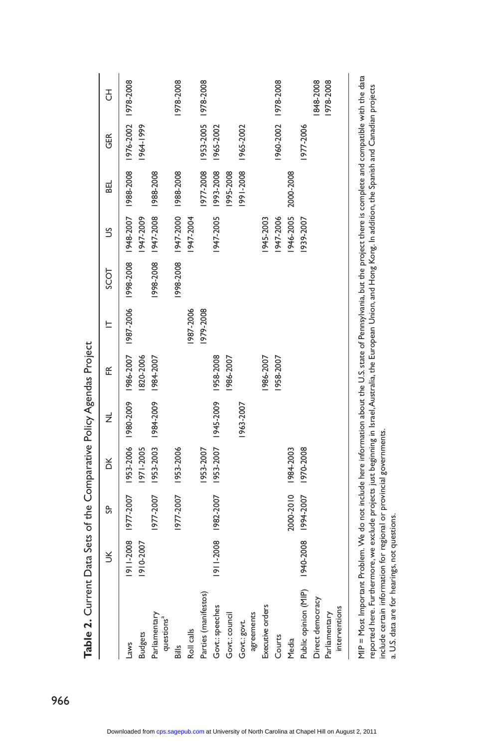|                                         | $\breve{\exists}$   | ႕                                                                                                              | ă         | $\equiv$                      | Æ         |           | SCOT | S                             | BEL.                          | GER                          | 3                     |
|-----------------------------------------|---------------------|----------------------------------------------------------------------------------------------------------------|-----------|-------------------------------|-----------|-----------|------|-------------------------------|-------------------------------|------------------------------|-----------------------|
| Laws                                    |                     | 9002-9761 1972-2002 1992-8884 1994-2006 1996-2006 1998-2002-8984 1994-2002-008 1994-2008 1994-2002-1161 19002- |           |                               |           |           |      |                               |                               |                              |                       |
| <b>Budgets</b>                          | 910-2007            |                                                                                                                | 1971-2005 |                               | 820-2006  |           |      | 947-2009                      |                               | 964-1999                     |                       |
| Parliamentary<br>questions <sup>a</sup> |                     | 1977-2007                                                                                                      |           | 1953-2003 1984-2009 1984-2007 |           |           |      | 1998-2008 1947-2008 1988-2008 |                               |                              |                       |
| Bills                                   |                     | 1977-2007                                                                                                      | 1953-2006 |                               |           |           |      | 1998-2008 1947-2000 1988-2008 |                               |                              | 1978-2008             |
| Roll calls                              |                     |                                                                                                                |           |                               |           | 1987-2006 |      | 1947-2004                     |                               |                              |                       |
| Parties (manifestos)                    |                     |                                                                                                                | 1953-2007 |                               |           | 1979-2008 |      |                               |                               | 977-2008 1953-2005 1978-2008 |                       |
| Govt.: speeches                         |                     | I910-2008 1982-2007 1953-2007 1945-2009 1958-2008                                                              |           |                               |           |           |      |                               | 1947-2005 1993-2008 1965-2002 |                              |                       |
| Govt.: council                          |                     |                                                                                                                |           |                               | 986-2007  |           |      |                               | 995-2008                      |                              |                       |
| Govt.: govt.                            |                     |                                                                                                                |           | 1963-2007                     |           |           |      |                               | 1991-2008 1965-2002           |                              |                       |
| agreements                              |                     |                                                                                                                |           |                               |           |           |      |                               |                               |                              |                       |
| Executive orders                        |                     |                                                                                                                |           |                               | 1986-2007 |           |      | 1945-2003                     |                               |                              |                       |
| Courts                                  |                     |                                                                                                                |           |                               | 1958-2007 |           |      | 1947-2006                     |                               | 960-2002 1978-2008           |                       |
| Media                                   |                     | 2000-2010                                                                                                      | 1984-2003 |                               |           |           |      | 1946-2005 2000-2008           |                               |                              |                       |
| Public opinion (MIP)                    | 1940-2008 1994-2007 |                                                                                                                | 1970-2008 |                               |           |           |      | 1939-2007                     |                               | 1977-2006                    |                       |
| Direct democracy<br>Parliamentary       |                     |                                                                                                                |           |                               |           |           |      |                               |                               |                              | 848-2008<br>1978-2008 |
| interventions                           |                     |                                                                                                                |           |                               |           |           |      |                               |                               |                              |                       |
|                                         |                     |                                                                                                                |           |                               |           |           |      |                               |                               |                              |                       |

MIP = Most Important Problem. We do not include here information about the U.S. state of Pennsylvania, but the project there is complete and compatible with the data MIP = Most Important Problem. We do not include here information about the U.S. state of Pennsylvania, but the project there is complete and compatible with the data reported here. Furthermore, we exclude projects just beginning in Israel, Australia, the European Union, and Hong Kong, In addition, the Spanish and Canadian projects reported here. Furthermore, we exclude projects just beginning in Israel, Australia, the European Union, and Hong Kong. In addition, the Spanish and Canadian projects include certain information for regional or provincial governments. include certain information for regional or provincial governments.

a. U.S. data are for hearings, not questions. a. U.S. data are for hearings, not questions.

**Table 2.** Current Data Sets of the Comparative Policy Agendas Project

Table 2. Current Data Sets of the Comparative Policy Agendas Project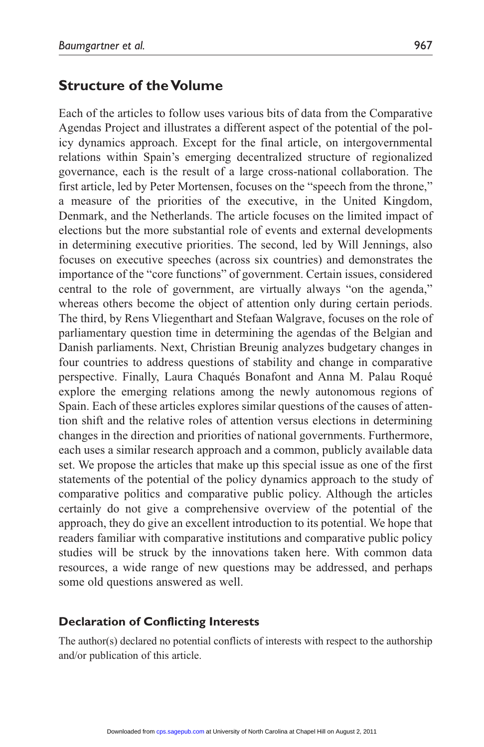#### **Structure of the Volume**

Each of the articles to follow uses various bits of data from the Comparative Agendas Project and illustrates a different aspect of the potential of the policy dynamics approach. Except for the final article, on intergovernmental relations within Spain's emerging decentralized structure of regionalized governance, each is the result of a large cross-national collaboration. The first article, led by Peter Mortensen, focuses on the "speech from the throne," a measure of the priorities of the executive, in the United Kingdom, Denmark, and the Netherlands. The article focuses on the limited impact of elections but the more substantial role of events and external developments in determining executive priorities. The second, led by Will Jennings, also focuses on executive speeches (across six countries) and demonstrates the importance of the "core functions" of government. Certain issues, considered central to the role of government, are virtually always "on the agenda," whereas others become the object of attention only during certain periods. The third, by Rens Vliegenthart and Stefaan Walgrave, focuses on the role of parliamentary question time in determining the agendas of the Belgian and Danish parliaments. Next, Christian Breunig analyzes budgetary changes in four countries to address questions of stability and change in comparative perspective. Finally, Laura Chaqués Bonafont and Anna M. Palau Roqué explore the emerging relations among the newly autonomous regions of Spain. Each of these articles explores similar questions of the causes of attention shift and the relative roles of attention versus elections in determining changes in the direction and priorities of national governments. Furthermore, each uses a similar research approach and a common, publicly available data set. We propose the articles that make up this special issue as one of the first statements of the potential of the policy dynamics approach to the study of comparative politics and comparative public policy. Although the articles certainly do not give a comprehensive overview of the potential of the approach, they do give an excellent introduction to its potential. We hope that readers familiar with comparative institutions and comparative public policy studies will be struck by the innovations taken here. With common data resources, a wide range of new questions may be addressed, and perhaps some old questions answered as well.

#### **Declaration of Conflicting Interests**

The author(s) declared no potential conflicts of interests with respect to the authorship and/or publication of this article.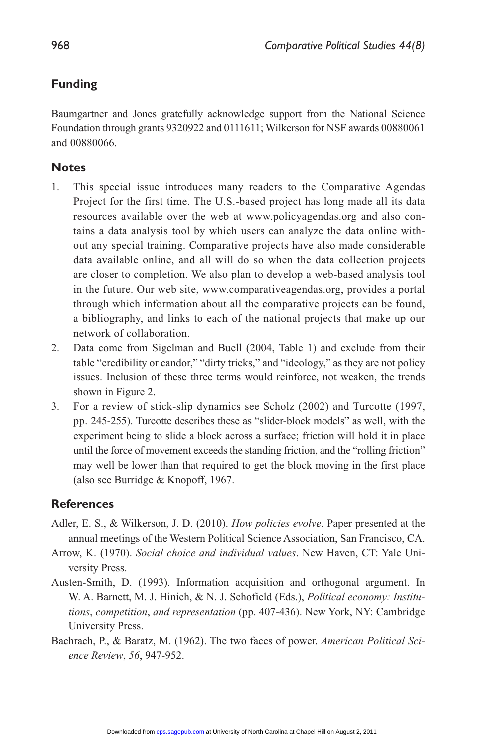## **Funding**

Baumgartner and Jones gratefully acknowledge support from the National Science Foundation through grants 9320922 and 0111611; Wilkerson for NSF awards 00880061 and 00880066.

### **Notes**

- 1. This special issue introduces many readers to the Comparative Agendas Project for the first time. The U.S.-based project has long made all its data resources available over the web at www.policyagendas.org and also contains a data analysis tool by which users can analyze the data online without any special training. Comparative projects have also made considerable data available online, and all will do so when the data collection projects are closer to completion. We also plan to develop a web-based analysis tool in the future. Our web site, www.comparativeagendas.org, provides a portal through which information about all the comparative projects can be found, a bibliography, and links to each of the national projects that make up our network of collaboration.
- 2. Data come from Sigelman and Buell (2004, Table 1) and exclude from their table "credibility or candor," "dirty tricks," and "ideology," as they are not policy issues. Inclusion of these three terms would reinforce, not weaken, the trends shown in Figure 2.
- 3. For a review of stick-slip dynamics see Scholz (2002) and Turcotte (1997, pp. 245-255). Turcotte describes these as "slider-block models" as well, with the experiment being to slide a block across a surface; friction will hold it in place until the force of movement exceeds the standing friction, and the "rolling friction" may well be lower than that required to get the block moving in the first place (also see Burridge & Knopoff, 1967.

#### **References**

- Adler, E. S., & Wilkerson, J. D. (2010). *How policies evolve*. Paper presented at the annual meetings of the Western Political Science Association, San Francisco, CA.
- Arrow, K. (1970). *Social choice and individual values*. New Haven, CT: Yale University Press.
- Austen-Smith, D. (1993). Information acquisition and orthogonal argument. In W. A. Barnett, M. J. Hinich, & N. J. Schofield (Eds.), *Political economy: Institutions*, *competition*, *and representation* (pp. 407-436). New York, NY: Cambridge University Press.
- Bachrach, P., & Baratz, M. (1962). The two faces of power. *American Political Science Review*, *56*, 947-952.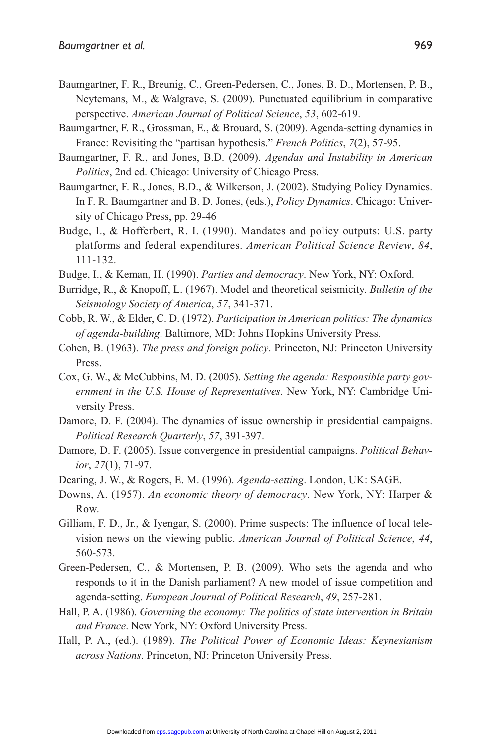- Baumgartner, F. R., Breunig, C., Green-Pedersen, C., Jones, B. D., Mortensen, P. B., Neytemans, M., & Walgrave, S. (2009). Punctuated equilibrium in comparative perspective. *American Journal of Political Science*, *53*, 602-619.
- Baumgartner, F. R., Grossman, E., & Brouard, S. (2009). Agenda-setting dynamics in France: Revisiting the "partisan hypothesis." *French Politics*, *7*(2), 57-95.
- Baumgartner, F. R., and Jones, B.D. (2009). *Agendas and Instability in American Politics*, 2nd ed. Chicago: University of Chicago Press.
- Baumgartner, F. R., Jones, B.D., & Wilkerson, J. (2002). Studying Policy Dynamics. In F. R. Baumgartner and B. D. Jones, (eds.), *Policy Dynamics*. Chicago: University of Chicago Press, pp. 29-46
- Budge, I., & Hofferbert, R. I. (1990). Mandates and policy outputs: U.S. party platforms and federal expenditures. *American Political Science Review*, *84*, 111-132.
- Budge, I., & Keman, H. (1990). *Parties and democracy*. New York, NY: Oxford.
- Burridge, R., & Knopoff, L. (1967). Model and theoretical seismicity. *Bulletin of the Seismology Society of America*, *57*, 341-371.
- Cobb, R. W., & Elder, C. D. (1972). *Participation in American politics: The dynamics of agenda-building*. Baltimore, MD: Johns Hopkins University Press.
- Cohen, B. (1963). *The press and foreign policy*. Princeton, NJ: Princeton University Press.
- Cox, G. W., & McCubbins, M. D. (2005). *Setting the agenda: Responsible party government in the U.S. House of Representatives*. New York, NY: Cambridge University Press.
- Damore, D. F. (2004). The dynamics of issue ownership in presidential campaigns. *Political Research Quarterly*, *57*, 391-397.
- Damore, D. F. (2005). Issue convergence in presidential campaigns. *Political Behavior*, *27*(1), 71-97.
- Dearing, J. W., & Rogers, E. M. (1996). *Agenda-setting*. London, UK: Sage.
- Downs, A. (1957). *An economic theory of democracy*. New York, NY: Harper & Row.
- Gilliam, F. D., Jr., & Iyengar, S. (2000). Prime suspects: The influence of local television news on the viewing public. *American Journal of Political Science*, *44*, 560-573.
- Green-Pedersen, C., & Mortensen, P. B. (2009). Who sets the agenda and who responds to it in the Danish parliament? A new model of issue competition and agenda-setting. *European Journal of Political Research*, *49*, 257-281.
- Hall, P. A. (1986). *Governing the economy: The politics of state intervention in Britain and France*. New York, NY: Oxford University Press.
- Hall, P. A., (ed.). (1989). *The Political Power of Economic Ideas: Keynesianism across Nations*. Princeton, NJ: Princeton University Press.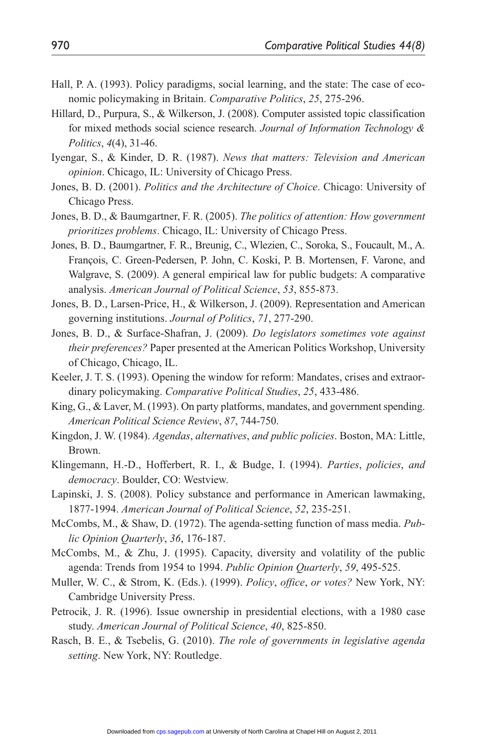- Hall, P. A. (1993). Policy paradigms, social learning, and the state: The case of economic policymaking in Britain. *Comparative Politics*, *25*, 275-296.
- Hillard, D., Purpura, S., & Wilkerson, J. (2008). Computer assisted topic classification for mixed methods social science research. *Journal of Information Technology & Politics*, *4*(4), 31-46.
- Iyengar, S., & Kinder, D. R. (1987). *News that matters: Television and American opinion*. Chicago, IL: University of Chicago Press.
- Jones, B. D. (2001). *Politics and the Architecture of Choice*. Chicago: University of Chicago Press.
- Jones, B. D., & Baumgartner, F. R. (2005). *The politics of attention: How government prioritizes problems*. Chicago, IL: University of Chicago Press.
- Jones, B. D., Baumgartner, F. R., Breunig, C., Wlezien, C., Soroka, S., Foucault, M., A. François, C. Green-Pedersen, P. John, C. Koski, P. B. Mortensen, F. Varone, and Walgrave, S. (2009). A general empirical law for public budgets: A comparative analysis. *American Journal of Political Science*, *53*, 855-873.
- Jones, B. D., Larsen-Price, H., & Wilkerson, J. (2009). Representation and American governing institutions. *Journal of Politics*, *71*, 277-290.
- Jones, B. D., & Surface-Shafran, J. (2009). *Do legislators sometimes vote against their preferences?* Paper presented at the American Politics Workshop, University of Chicago, Chicago, IL.
- Keeler, J. T. S. (1993). Opening the window for reform: Mandates, crises and extraordinary policymaking. *Comparative Political Studies*, *25*, 433-486.
- King, G., & Laver, M. (1993). On party platforms, mandates, and government spending. *American Political Science Review*, *87*, 744-750.
- Kingdon, J. W. (1984). *Agendas*, *alternatives*, *and public policies*. Boston, MA: Little, Brown.
- Klingemann, H.-D., Hofferbert, R. I., & Budge, I. (1994). *Parties*, *policies*, *and democracy*. Boulder, CO: Westview.
- Lapinski, J. S. (2008). Policy substance and performance in American lawmaking, 1877-1994. *American Journal of Political Science*, *52*, 235-251.
- McCombs, M., & Shaw, D. (1972). The agenda-setting function of mass media. *Public Opinion Quarterly*, *36*, 176-187.
- McCombs, M., & Zhu, J. (1995). Capacity, diversity and volatility of the public agenda: Trends from 1954 to 1994. *Public Opinion Quarterly*, *59*, 495-525.
- Muller, W. C., & Strom, K. (Eds.). (1999). *Policy*, *office*, *or votes?* New York, NY: Cambridge University Press.
- Petrocik, J. R. (1996). Issue ownership in presidential elections, with a 1980 case study. *American Journal of Political Science*, *40*, 825-850.
- Rasch, B. E., & Tsebelis, G. (2010). *The role of governments in legislative agenda setting*. New York, NY: Routledge.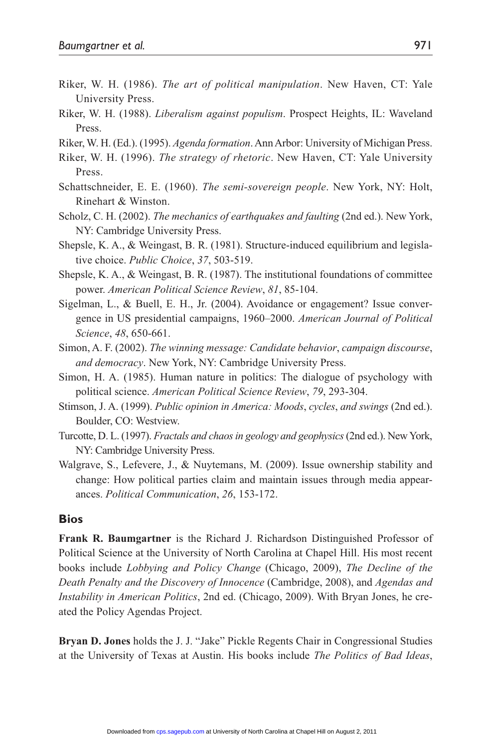- Riker, W. H. (1986). *The art of political manipulation*. New Haven, CT: Yale University Press.
- Riker, W. H. (1988). *Liberalism against populism*. Prospect Heights, IL: Waveland Press.
- Riker, W. H. (Ed.). (1995). *Agenda formation*. Ann Arbor: University of Michigan Press.
- Riker, W. H. (1996). *The strategy of rhetoric*. New Haven, CT: Yale University Press.
- Schattschneider, E. E. (1960). *The semi-sovereign people*. New York, NY: Holt, Rinehart & Winston.
- Scholz, C. H. (2002). *The mechanics of earthquakes and faulting* (2nd ed.). New York, NY: Cambridge University Press.
- Shepsle, K. A., & Weingast, B. R. (1981). Structure-induced equilibrium and legislative choice. *Public Choice*, *37*, 503-519.
- Shepsle, K. A., & Weingast, B. R. (1987). The institutional foundations of committee power. *American Political Science Review*, *81*, 85-104.
- Sigelman, L., & Buell, E. H., Jr. (2004). Avoidance or engagement? Issue convergence in US presidential campaigns, 1960–2000. *American Journal of Political Science*, *48*, 650-661.
- Simon, A. F. (2002). *The winning message: Candidate behavior*, *campaign discourse*, *and democracy*. New York, NY: Cambridge University Press.
- Simon, H. A. (1985). Human nature in politics: The dialogue of psychology with political science. *American Political Science Review*, *79*, 293-304.
- Stimson, J. A. (1999). *Public opinion in America: Moods*, *cycles*, *and swings* (2nd ed.). Boulder, CO: Westview.
- Turcotte, D. L. (1997). *Fractals and chaos in geology and geophysics* (2nd ed.). New York, NY: Cambridge University Press.
- Walgrave, S., Lefevere, J., & Nuytemans, M. (2009). Issue ownership stability and change: How political parties claim and maintain issues through media appearances. *Political Communication*, *26*, 153-172.

#### **Bios**

**Frank R. Baumgartner** is the Richard J. Richardson Distinguished Professor of Political Science at the University of North Carolina at Chapel Hill. His most recent books include *Lobbying and Policy Change* (Chicago, 2009), *The Decline of the Death Penalty and the Discovery of Innocence* (Cambridge, 2008), and *Agendas and Instability in American Politics*, 2nd ed. (Chicago, 2009). With Bryan Jones, he created the Policy Agendas Project.

**Bryan D. Jones** holds the J. J. "Jake" Pickle Regents Chair in Congressional Studies at the University of Texas at Austin. His books include *The Politics of Bad Ideas*,